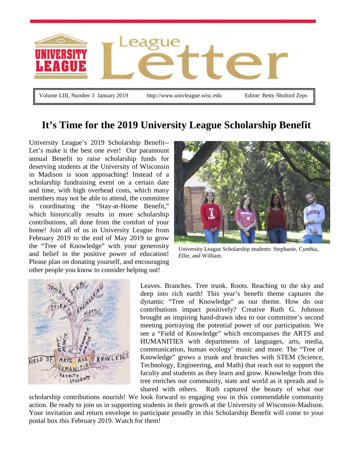

**It's Time for the 2019 University League Scholarship Benefit**

University League's 2019 Scholarship Benefit-- Let's make it the best one ever! Our paramount annual Benefit to raise scholarship funds for deserving students at the University of Wisconsin in Madison is soon approaching! Instead of a scholarship fundraising event on a certain date and time, with high overhead costs, which many members may not be able to attend, the committee is coordinating the "Stay-at-Home Benefit," which historically results in more scholarship contributions, all done from the comfort of your home! Join all of us in University League from February 2019 to the end of May 2019 to grow the "Tree of Knowledge" with your generosity and belief in the positive power of education! Please plan on donating yourself, and encouraging other people you know to consider helping out!



University League Scholarship students: Stephanie, Cynthia, Ellie, and William.



Leaves. Branches. Tree trunk. Roots. Reaching to the sky and deep into rich earth! This year's benefit theme captures the dynamic "Tree of Knowledge" as our theme. How do our contributions impact positively? Creative Ruth G. Johnson brought an inspiring hand-drawn idea to our committee's second meeting portraying the potential power of our participation. We see a "Field of Knowledge" which encompasses the ARTS and HUMANITIES with departments of languages, arts, media, communication, human ecology' music and more. The "Tree of Knowledge" grows a trunk and branches with STEM (Science, Technology, Engineering, and Math) that reach out to support the faculty and students as they learn and grow. Knowledge from this tree enriches our community, state and world as it spreads and is shared with others. Ruth captured the beauty of what our

scholarship contributions nourish! We look forward to engaging you in this commendable community action. Be ready to join us in supporting students in their growth at the University of Wisconsin-Madison. Your invitation and return envelope to participate proudly in this Scholarship Benefit will come to your postal box this February 2019. Watch for them!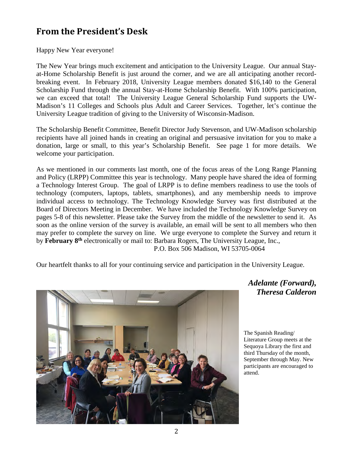# **From the President's Desk**

Happy New Year everyone!

The New Year brings much excitement and anticipation to the University League. Our annual Stayat-Home Scholarship Benefit is just around the corner, and we are all anticipating another recordbreaking event. In February 2018, University League members donated \$16,140 to the General Scholarship Fund through the annual Stay-at-Home Scholarship Benefit. With 100% participation, we can exceed that total! The University League General Scholarship Fund supports the UW-Madison's 11 Colleges and Schools plus Adult and Career Services. Together, let's continue the University League tradition of giving to the University of Wisconsin-Madison.

The Scholarship Benefit Committee, Benefit Director Judy Stevenson, and UW-Madison scholarship recipients have all joined hands in creating an original and persuasive invitation for you to make a donation, large or small, to this year's Scholarship Benefit. See page 1 for more details. We welcome your participation.

As we mentioned in our comments last month, one of the focus areas of the Long Range Planning and Policy (LRPP) Committee this year is technology. Many people have shared the idea of forming a Technology Interest Group. The goal of LRPP is to define members readiness to use the tools of technology (computers, laptops, tablets, smartphones), and any membership needs to improve individual access to technology. The Technology Knowledge Survey was first distributed at the Board of Directors Meeting in December. We have included the Technology Knowledge Survey on pages 5-8 of this newsletter. Please take the Survey from the middle of the newsletter to send it. As soon as the online version of the survey is available, an email will be sent to all members who then may prefer to complete the survey on line. We urge everyone to complete the Survey and return it by **February 8th** electronically or mail to: Barbara Rogers, The University League, Inc., P.O. Box 506 Madison, WI 53705-0064

Our heartfelt thanks to all for your continuing service and participation in the University League.



*Adelante (Forward), Theresa Calderon*

The Spanish Reading/ Literature Group meets at the Sequoya Library the first and third Thursday of the month, September through May. New participants are encouraged to attend.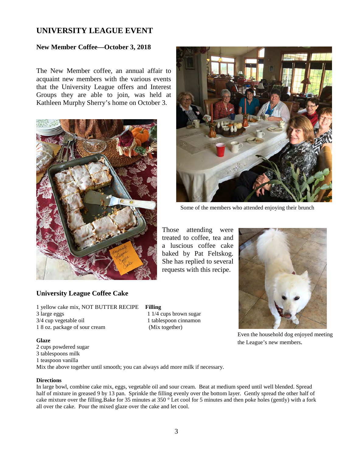## **UNIVERSITY LEAGUE EVENT**

### **New Member Coffee—October 3, 2018**

The New Member coffee, an annual affair to acquaint new members with the various events that the University League offers and Interest Groups they are able to join, was held at Kathleen Murphy Sherry's home on October 3.



### **University League Coffee Cake**

1 yellow cake mix, NOT BUTTER RECIPE **Filling** 3 large eggs 1 1/4 cups brown sugar 3/4 cup vegetable oil 1 tablespoon cinnamon 1 8 oz. package of sour cream (Mix together)

#### **Glaze**

2 cups powdered sugar 3 tablespoons milk 1 teaspoon vanilla Mix the above together until smooth; you can always add more milk if necessary.

#### **Directions**

In large bowl, combine cake mix, eggs, vegetable oil and sour cream. Beat at medium speed until well blended. Spread half of mixture in greased 9 by 13 pan. Sprinkle the filling evenly over the bottom layer. Gently spread the other half of cake mixture over the filling.Bake for 35 minutes at 350 ° Let cool for 5 minutes and then poke holes (gently) with a fork all over the cake. Pour the mixed glaze over the cake and let cool.



Some of the members who attended enjoying their brunch

Those attending were treated to coffee, tea and a luscious coffee cake baked by Pat Feltskog. She has replied to several requests with this recipe.



Even the household dog enjoyed meeting the League's new members.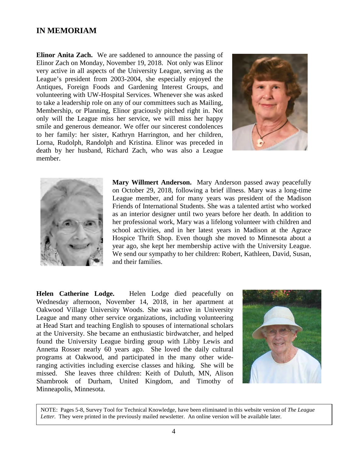### **IN MEMORIAM**

**Elinor Anita Zach.** We are saddened to announce the passing of Elinor Zach on Monday, November 19, 2018. Not only was Elinor very active in all aspects of the University League, serving as the League's president from 2003-2004, she especially enjoyed the Antiques, Foreign Foods and Gardening Interest Groups, and volunteering with UW-Hospital Services. Whenever she was asked to take a leadership role on any of our committees such as Mailing, Membership, or Planning, Elinor graciously pitched right in. Not only will the League miss her service, we will miss her happy smile and generous demeanor. We offer our sincerest condolences to her family: her sister, Kathryn Harrington, and her children, Lorna, Rudolph, Randolph and Kristina. Elinor was preceded in death by her husband, Richard Zach, who was also a League member.





**Mary Willmert Anderson.** Mary Anderson passed away peacefully on October 29, 2018, following a brief illness. Mary was a long-time League member, and for many years was president of the Madison Friends of International Students. She was a talented artist who worked as an interior designer until two years before her death. In addition to her professional work, Mary was a lifelong volunteer with children and school activities, and in her latest years in Madison at the Agrace Hospice Thrift Shop. Even though she moved to Minnesota about a year ago, she kept her membership active with the University League. We send our sympathy to her children: Robert, Kathleen, David, Susan, and their families.

**Helen Catherine Lodge.** Helen Lodge died peacefully on Wednesday afternoon, November 14, 2018, in her apartment at Oakwood Village University Woods. She was active in University League and many other service organizations, including volunteering at Head Start and teaching English to spouses of international scholars at the University. She became an enthusiastic birdwatcher, and helped found the University League birding group with Libby Lewis and Annetta Rosser nearly 60 years ago. She loved the daily cultural programs at Oakwood, and participated in the many other wideranging activities including exercise classes and hiking. She will be missed. She leaves three children: Keith of Duluth, MN, Alison Shambrook of Durham, United Kingdom, and Timothy of Minneapolis, Minnesota.



NOTE: Pages 5-8, Survey Tool for Technical Knowledge, have been eliminated in this website version of *The League Letter.* They were printed in the previously mailed newsletter. An online version will be available later.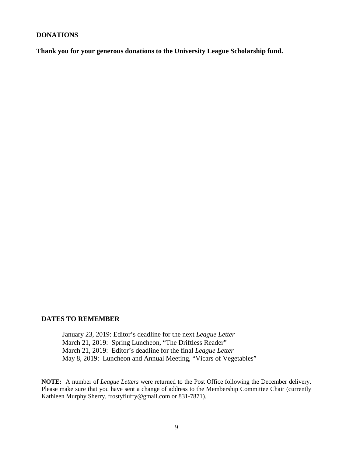#### **DONATIONS**

**Thank you for your generous donations to the University League Scholarship fund.** 

#### **DATES TO REMEMBER**

January 23, 2019: Editor's deadline for the next *League Letter* March 21, 2019: Spring Luncheon, "The Driftless Reader" March 21, 2019: Editor's deadline for the final *League Letter* May 8, 2019: Luncheon and Annual Meeting, "Vicars of Vegetables"

**NOTE:** A number of *League Letters* were returned to the Post Office following the December delivery. Please make sure that you have sent a change of address to the Membership Committee Chair (currently Kathleen Murphy Sherry, frostyfluffy@gmail.com or 831-7871).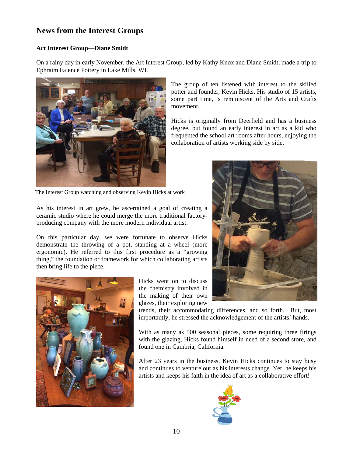# **News from the Interest Groups**

### **Art Interest Group—Diane Smidt**

On a rainy day in early November, the Art Interest Group, led by Kathy Knox and Diane Smidt, made a trip to Ephraim Faience Pottery in Lake Mills, WI.



The Interest Group watching and observing Kevin Hicks at work

As his interest in art grew, he ascertained a goal of creating a ceramic studio where he could merge the more traditional factoryproducing company with the more modern individual artist.

On this particular day, we were fortunate to observe Hicks demonstrate the throwing of a pot, standing at a wheel (more ergonomic). He referred to this first procedure as a "growing thing," the foundation or framework for which collaborating artists then bring life to the piece.



Hicks went on to discuss the chemistry involved in the making of their own glazes, their exploring new

trends, their accommodating differences, and so forth. But, most importantly, he stressed the acknowledgement of the artists' hands.

With as many as 500 seasonal pieces, some requiring three firings with the glazing, Hicks found himself in need of a second store, and found one in Cambria, California.

After 23 years in the business, Kevin Hicks continues to stay busy and continues to venture out as his interests change. Yet, he keeps his artists and keeps his faith in the idea of art as a collaborative effort!





Hicks is originally from Deerfield and has a business degree, but found an early interest in art as a kid who frequented the school art rooms after hours, enjoying the collaboration of artists working side by side.

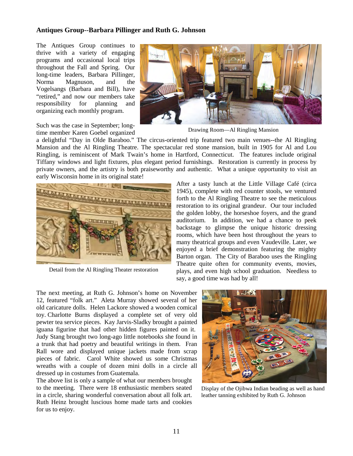#### **Antiques Group--Barbara Pillinger and Ruth G. Johnson**

The Antiques Group continues to thrive with a variety of engaging programs and occasional local trips throughout the Fall and Spring. Our long-time leaders, Barbara Pillinger, Norma Magnuson, and the Vogelsangs (Barbara and Bill), have "retired," and now our members take responsibility for planning and organizing each monthly program.

Such was the case in September; longtime member Karen Goebel organized



Drawing Room—Al Ringling Mansion

a delightful "Day in Olde Baraboo." The circus-oriented trip featured two main venues--the Al Ringling Mansion and the Al Ringling Theatre. The spectacular red stone mansion, built in 1905 for Al and Lou Ringling, is reminiscent of Mark Twain's home in Hartford, Connecticut. The features include original Tiffany windows and light fixtures, plus elegant period furnishings. Restoration is currently in process by private owners, and the artistry is both praiseworthy and authentic. What a unique opportunity to visit an early Wisconsin home in its original state!



Detail from the Al Ringling Theater restoration

After a tasty lunch at the Little Village Café (circa 1945), complete with red counter stools, we ventured forth to the Al Ringling Theatre to see the meticulous restoration to its original grandeur. Our tour included the golden lobby, the horseshoe foyers, and the grand auditorium. In addition, we had a chance to peek backstage to glimpse the unique historic dressing rooms, which have been host throughout the years to many theatrical groups and even Vaudeville. Later, we enjoyed a brief demonstration featuring the mighty Barton organ. The City of Baraboo uses the Ringling Theatre quite often for community events, movies, plays, and even high school graduation. Needless to say, a good time was had by all!

The next meeting, at Ruth G. Johnson's home on November 12, featured "folk art." Aleta Murray showed several of her old caricature dolls. Helen Lackore showed a wooden comical toy. Charlotte Burns displayed a complete set of very old pewter tea service pieces. Kay Jarvis-Sladky brought a painted iguana figurine that had other hidden figures painted on it. Judy Stang brought two long-ago little notebooks she found in a trunk that had poetry and beautiful writings in them. Fran Rall wore and displayed unique jackets made from scrap pieces of fabric. Carol White showed us some Christmas wreaths with a couple of dozen mini dolls in a circle all dressed up in costumes from Guatemala.

The above list is only a sample of what our members brought to the meeting. There were 18 enthusiastic members seated in a circle, sharing wonderful conversation about all folk art. Ruth Heinz brought luscious home made tarts and cookies for us to enjoy.



Display of the Ojibwa Indian beading as well as hand leather tanning exhibited by Ruth G. Johnson